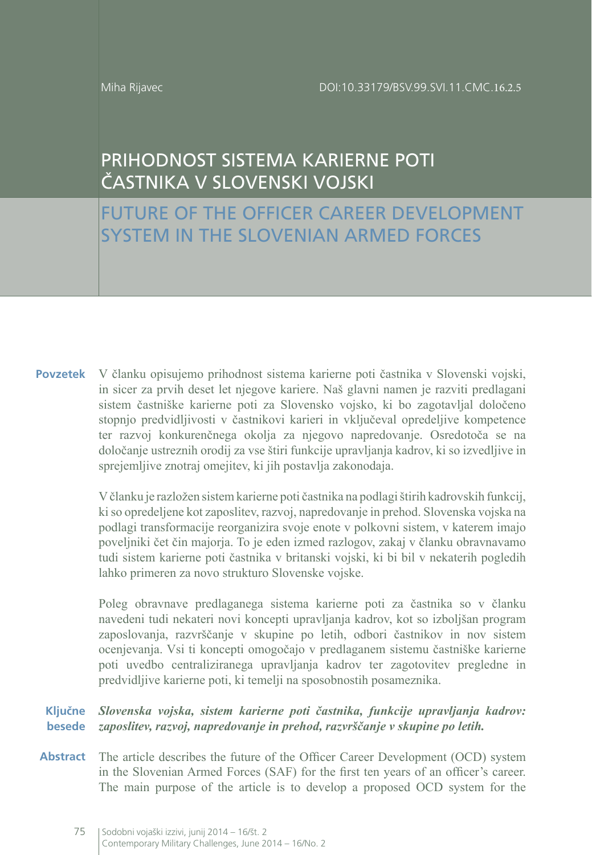Miha Rijavec

# PRIHODNOST SISTEMA KARIERNE POTI ČASTNIKA V SLOVENSKI VOJSKI

FUTURE OF THE OFFICER CAREER DEVELOPMENT SYSTEM IN THE SLOVENIAN ARMED FORCES

V članku opisujemo prihodnost sistema karierne poti častnika v Slovenski vojski, in sicer za prvih deset let njegove kariere. Naš glavni namen je razviti predlagani sistem častniške karierne poti za Slovensko vojsko, ki bo zagotavljal določeno stopnjo predvidljivosti v častnikovi karieri in vključeval opredeljive kompetence ter razvoj konkurenčnega okolja za njegovo napredovanje. Osredotoča se na določanje ustreznih orodij za vse štiri funkcije upravljanja kadrov, ki so izvedljive in sprejemljive znotraj omejitev, ki jih postavlja zakonodaja. **Povzetek**

> V članku je razložen sistem karierne poti častnika na podlagi štirih kadrovskih funkcij, ki so opredeljene kot zaposlitev, razvoj, napredovanje in prehod. Slovenska vojska na podlagi transformacije reorganizira svoje enote v polkovni sistem, v katerem imajo poveljniki čet čin majorja. To je eden izmed razlogov, zakaj v članku obravnavamo tudi sistem karierne poti častnika v britanski vojski, ki bi bil v nekaterih pogledih lahko primeren za novo strukturo Slovenske vojske.

> Poleg obravnave predlaganega sistema karierne poti za častnika so v članku navedeni tudi nekateri novi koncepti upravljanja kadrov, kot so izboljšan program zaposlovanja, razvrščanje v skupine po letih, odbori častnikov in nov sistem ocenjevanja. Vsi ti koncepti omogočajo v predlaganem sistemu častniške karierne poti uvedbo centraliziranega upravljanja kadrov ter zagotovitev pregledne in predvidljive karierne poti, ki temelji na sposobnostih posameznika.

#### *Slovenska vojska, sistem karierne poti častnika, funkcije upravljanja kadrov: zaposlitev, razvoj, napredovanje in prehod, razvrščanje v skupine po letih.* **Ključne besede**

Abstract The article describes the future of the Officer Career Development (OCD) system in the Slovenian Armed Forces (SAF) for the first ten years of an officer's career. The main purpose of the article is to develop a proposed OCD system for the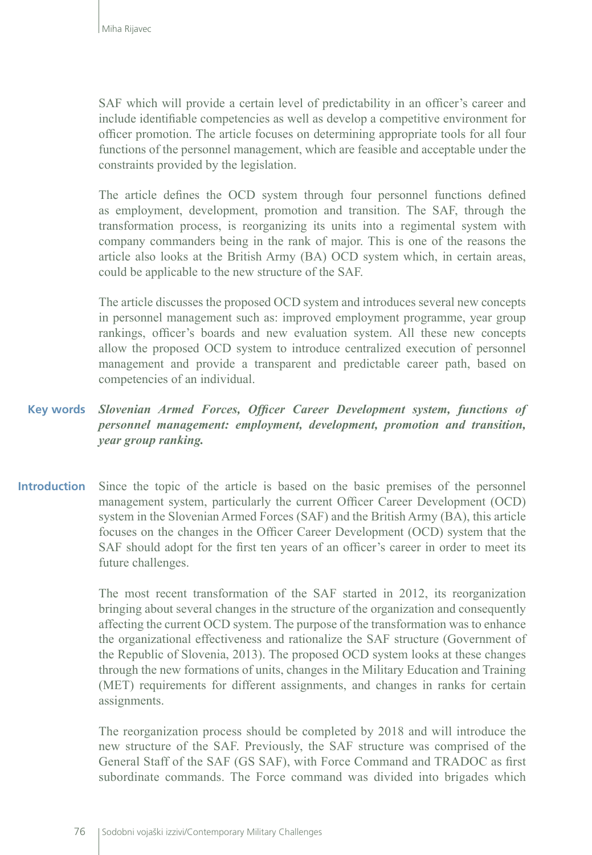SAF which will provide a certain level of predictability in an officer's career and include identifiable competencies as well as develop a competitive environment for officer promotion. The article focuses on determining appropriate tools for all four functions of the personnel management, which are feasible and acceptable under the constraints provided by the legislation.

The article defines the OCD system through four personnel functions defined as employment, development, promotion and transition. The SAF, through the transformation process, is reorganizing its units into a regimental system with company commanders being in the rank of major. This is one of the reasons the article also looks at the British Army (BA) OCD system which, in certain areas, could be applicable to the new structure of the SAF.

The article discusses the proposed OCD system and introduces several new concepts in personnel management such as: improved employment programme, year group rankings, officer's boards and new evaluation system. All these new concepts allow the proposed OCD system to introduce centralized execution of personnel management and provide a transparent and predictable career path, based on competencies of an individual.

#### **Key words** *Slovenian Armed Forces, Officer Career Development system, functions of personnel management: employment, development, promotion and transition, year group ranking.*

**Introduction** Since the topic of the article is based on the basic premises of the personnel management system, particularly the current Officer Career Development (OCD) system in the Slovenian Armed Forces (SAF) and the British Army (BA), this article focuses on the changes in the Officer Career Development (OCD) system that the SAF should adopt for the first ten years of an officer's career in order to meet its future challenges.

> The most recent transformation of the SAF started in 2012, its reorganization bringing about several changes in the structure of the organization and consequently affecting the current OCD system. The purpose of the transformation was to enhance the organizational effectiveness and rationalize the SAF structure (Government of the Republic of Slovenia, 2013). The proposed OCD system looks at these changes through the new formations of units, changes in the Military Education and Training (MET) requirements for different assignments, and changes in ranks for certain assignments.

> The reorganization process should be completed by 2018 and will introduce the new structure of the SAF. Previously, the SAF structure was comprised of the General Staff of the SAF (GS SAF), with Force Command and TRADOC as first subordinate commands. The Force command was divided into brigades which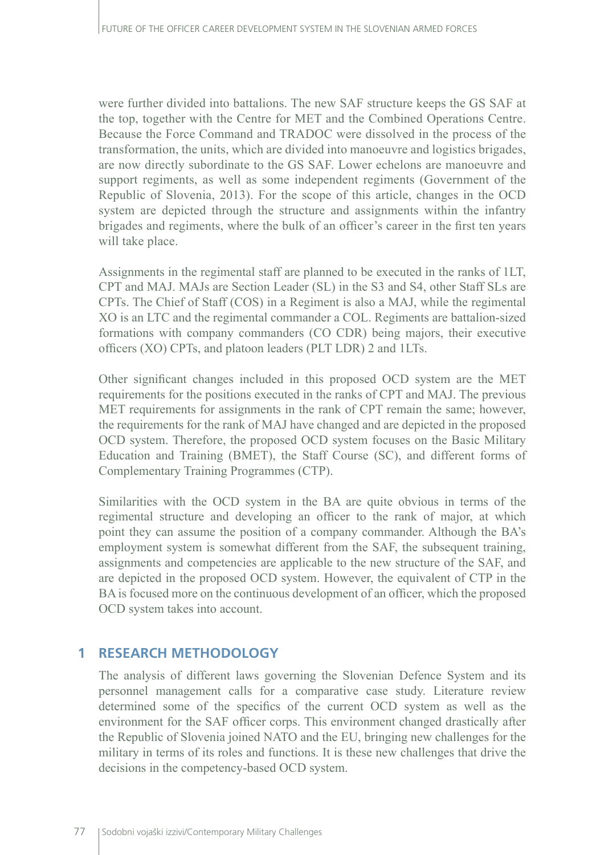were further divided into battalions. The new SAF structure keeps the GS SAF at the top, together with the Centre for MET and the Combined Operations Centre. Because the Force Command and TRADOC were dissolved in the process of the transformation, the units, which are divided into manoeuvre and logistics brigades, are now directly subordinate to the GS SAF. Lower echelons are manoeuvre and support regiments, as well as some independent regiments (Government of the Republic of Slovenia, 2013). For the scope of this article, changes in the OCD system are depicted through the structure and assignments within the infantry brigades and regiments, where the bulk of an officer's career in the first ten years will take place.

Assignments in the regimental staff are planned to be executed in the ranks of 1LT, CPT and MAJ. MAJs are Section Leader (SL) in the S3 and S4, other Staff SLs are CPTs. The Chief of Staff (COS) in a Regiment is also a MAJ, while the regimental XO is an LTC and the regimental commander a COL. Regiments are battalion-sized formations with company commanders (CO CDR) being majors, their executive officers (XO) CPTs, and platoon leaders (PLT LDR) 2 and 1LTs.

Other significant changes included in this proposed OCD system are the MET requirements for the positions executed in the ranks of CPT and MAJ. The previous MET requirements for assignments in the rank of CPT remain the same; however, the requirements for the rank of MAJ have changed and are depicted in the proposed OCD system. Therefore, the proposed OCD system focuses on the Basic Military Education and Training (BMET), the Staff Course (SC), and different forms of Complementary Training Programmes (CTP).

Similarities with the OCD system in the BA are quite obvious in terms of the regimental structure and developing an officer to the rank of major, at which point they can assume the position of a company commander. Although the BA's employment system is somewhat different from the SAF, the subsequent training, assignments and competencies are applicable to the new structure of the SAF, and are depicted in the proposed OCD system. However, the equivalent of CTP in the BA is focused more on the continuous development of an officer, which the proposed OCD system takes into account.

# **1 RESEARCH METHODOLOGY**

The analysis of different laws governing the Slovenian Defence System and its personnel management calls for a comparative case study. Literature review determined some of the specifics of the current OCD system as well as the environment for the SAF officer corps. This environment changed drastically after the Republic of Slovenia joined NATO and the EU, bringing new challenges for the military in terms of its roles and functions. It is these new challenges that drive the decisions in the competency-based OCD system.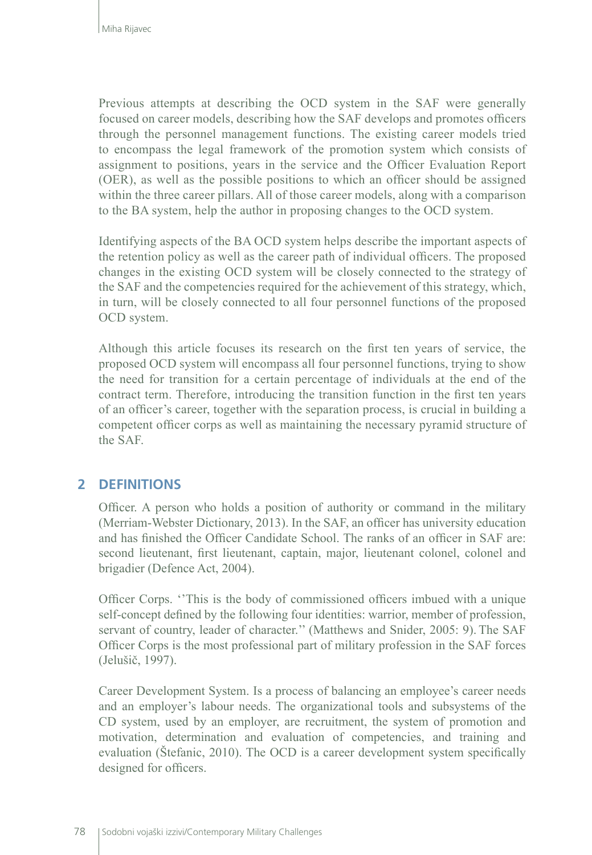Previous attempts at describing the OCD system in the SAF were generally focused on career models, describing how the SAF develops and promotes officers through the personnel management functions. The existing career models tried to encompass the legal framework of the promotion system which consists of assignment to positions, years in the service and the Officer Evaluation Report (OER), as well as the possible positions to which an officer should be assigned within the three career pillars. All of those career models, along with a comparison to the BA system, help the author in proposing changes to the OCD system.

Identifying aspects of the BA OCD system helps describe the important aspects of the retention policy as well as the career path of individual officers. The proposed changes in the existing OCD system will be closely connected to the strategy of the SAF and the competencies required for the achievement of this strategy, which, in turn, will be closely connected to all four personnel functions of the proposed OCD system.

Although this article focuses its research on the first ten years of service, the proposed OCD system will encompass all four personnel functions, trying to show the need for transition for a certain percentage of individuals at the end of the contract term. Therefore, introducing the transition function in the first ten years of an officer's career, together with the separation process, is crucial in building a competent officer corps as well as maintaining the necessary pyramid structure of the SAF.

## **2 DEFINITIONS**

Officer. A person who holds a position of authority or command in the military (Merriam-Webster Dictionary, 2013). In the SAF, an officer has university education and has finished the Officer Candidate School. The ranks of an officer in SAF are: second lieutenant, first lieutenant, captain, major, lieutenant colonel, colonel and brigadier (Defence Act, 2004).

Officer Corps. ''This is the body of commissioned officers imbued with a unique self-concept defined by the following four identities: warrior, member of profession, servant of country, leader of character.'' (Matthews and Snider, 2005: 9). The SAF Officer Corps is the most professional part of military profession in the SAF forces (Jelušič, 1997).

Career Development System. Is a process of balancing an employee's career needs and an employer's labour needs. The organizational tools and subsystems of the CD system, used by an employer, are recruitment, the system of promotion and motivation, determination and evaluation of competencies, and training and evaluation (Štefanic, 2010). The OCD is a career development system specifically designed for officers.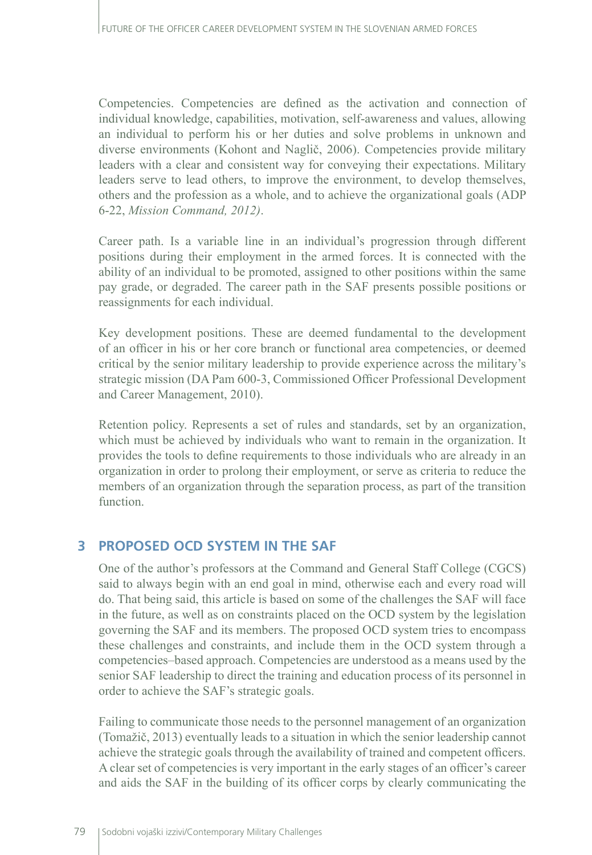Competencies. Competencies are defined as the activation and connection of individual knowledge, capabilities, motivation, self-awareness and values, allowing an individual to perform his or her duties and solve problems in unknown and diverse environments (Kohont and Naglič, 2006). Competencies provide military leaders with a clear and consistent way for conveying their expectations. Military leaders serve to lead others, to improve the environment, to develop themselves, others and the profession as a whole, and to achieve the organizational goals (ADP 6-22, *Mission Command, 2012)*.

Career path. Is a variable line in an individual's progression through different positions during their employment in the armed forces. It is connected with the ability of an individual to be promoted, assigned to other positions within the same pay grade, or degraded. The career path in the SAF presents possible positions or reassignments for each individual.

Key development positions. These are deemed fundamental to the development of an officer in his or her core branch or functional area competencies, or deemed critical by the senior military leadership to provide experience across the military's strategic mission (DA Pam 600-3, Commissioned Officer Professional Development and Career Management, 2010).

Retention policy. Represents a set of rules and standards, set by an organization, which must be achieved by individuals who want to remain in the organization. It provides the tools to define requirements to those individuals who are already in an organization in order to prolong their employment, or serve as criteria to reduce the members of an organization through the separation process, as part of the transition function.

## **3 PROPOSED OCD SYSTEM IN THE SAF**

One of the author's professors at the Command and General Staff College (CGCS) said to always begin with an end goal in mind, otherwise each and every road will do. That being said, this article is based on some of the challenges the SAF will face in the future, as well as on constraints placed on the OCD system by the legislation governing the SAF and its members. The proposed OCD system tries to encompass these challenges and constraints, and include them in the OCD system through a competencies–based approach. Competencies are understood as a means used by the senior SAF leadership to direct the training and education process of its personnel in order to achieve the SAF's strategic goals.

Failing to communicate those needs to the personnel management of an organization (Tomažič, 2013) eventually leads to a situation in which the senior leadership cannot achieve the strategic goals through the availability of trained and competent officers. A clear set of competencies is very important in the early stages of an officer's career and aids the SAF in the building of its officer corps by clearly communicating the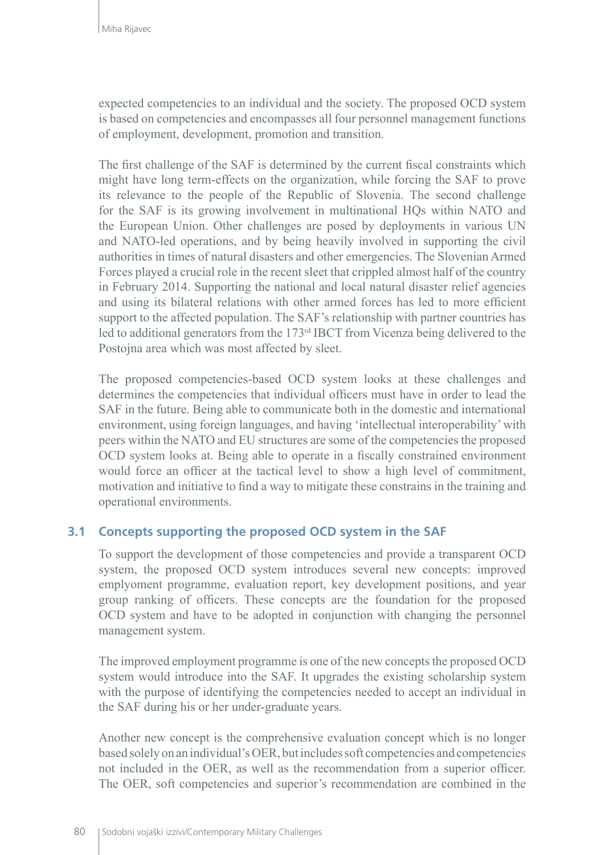expected competencies to an individual and the society. The proposed OCD system is based on competencies and encompasses all four personnel management functions of employment, development, promotion and transition.

The first challenge of the SAF is determined by the current fiscal constraints which might have long term-effects on the organization, while forcing the SAF to prove its relevance to the people of the Republic of Slovenia. The second challenge for the SAF is its growing involvement in multinational HQs within NATO and the European Union. Other challenges are posed by deployments in various UN and NATO-led operations, and by being heavily involved in supporting the civil authorities in times of natural disasters and other emergencies. The Slovenian Armed Forces played a crucial role in the recent sleet that crippled almost half of the country in February 2014. Supporting the national and local natural disaster relief agencies and using its bilateral relations with other armed forces has led to more efficient support to the affected population. The SAF's relationship with partner countries has led to additional generators from the 173rd IBCT from Vicenza being delivered to the Postojna area which was most affected by sleet.

The proposed competencies-based OCD system looks at these challenges and determines the competencies that individual officers must have in order to lead the SAF in the future. Being able to communicate both in the domestic and international environment, using foreign languages, and having 'intellectual interoperability' with peers within the NATO and EU structures are some of the competencies the proposed OCD system looks at. Being able to operate in a fiscally constrained environment would force an officer at the tactical level to show a high level of commitment, motivation and initiative to find a way to mitigate these constrains in the training and operational environments.

#### **3.1 Concepts supporting the proposed OCD system in the SAF**

To support the development of those competencies and provide a transparent OCD system, the proposed OCD system introduces several new concepts: improved emplyoment programme, evaluation report, key development positions, and year group ranking of officers. These concepts are the foundation for the proposed OCD system and have to be adopted in conjunction with changing the personnel management system.

The improved employment programme is one of the new concepts the proposed OCD system would introduce into the SAF. It upgrades the existing scholarship system with the purpose of identifying the competencies needed to accept an individual in the SAF during his or her under-graduate years.

Another new concept is the comprehensive evaluation concept which is no longer based solely on an individual's OER, but includes soft competencies and competencies not included in the OER, as well as the recommendation from a superior officer. The OER, soft competencies and superior's recommendation are combined in the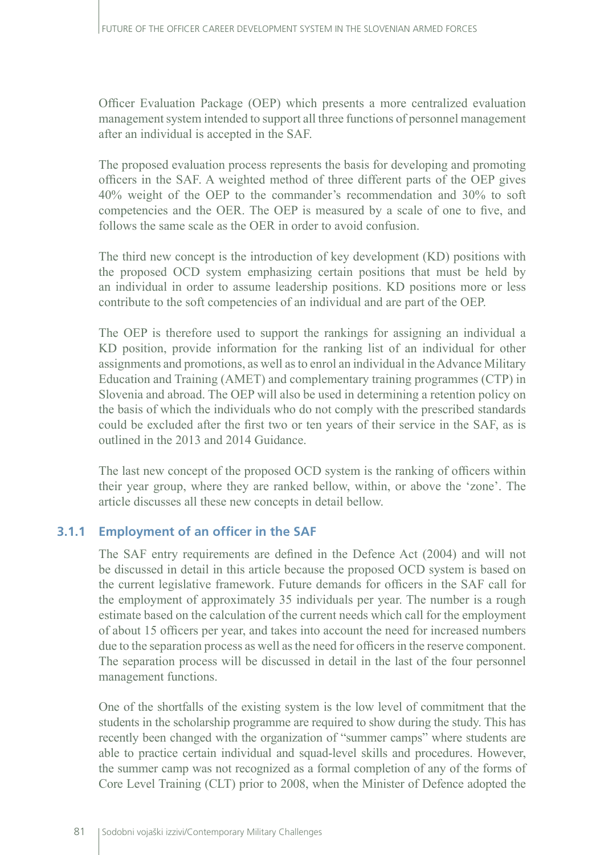Officer Evaluation Package (OEP) which presents a more centralized evaluation management system intended to support all three functions of personnel management after an individual is accepted in the SAF.

The proposed evaluation process represents the basis for developing and promoting officers in the SAF. A weighted method of three different parts of the OEP gives 40% weight of the OEP to the commander's recommendation and 30% to soft competencies and the OER. The OEP is measured by a scale of one to five, and follows the same scale as the OER in order to avoid confusion.

The third new concept is the introduction of key development (KD) positions with the proposed OCD system emphasizing certain positions that must be held by an individual in order to assume leadership positions. KD positions more or less contribute to the soft competencies of an individual and are part of the OEP.

The OEP is therefore used to support the rankings for assigning an individual a KD position, provide information for the ranking list of an individual for other assignments and promotions, as well as to enrol an individual in the Advance Military Education and Training (AMET) and complementary training programmes (CTP) in Slovenia and abroad. The OEP will also be used in determining a retention policy on the basis of which the individuals who do not comply with the prescribed standards could be excluded after the first two or ten years of their service in the SAF, as is outlined in the 2013 and 2014 Guidance.

The last new concept of the proposed OCD system is the ranking of officers within their year group, where they are ranked bellow, within, or above the 'zone'. The article discusses all these new concepts in detail bellow.

#### **3.1.1 Employment of an officer in the SAF**

The SAF entry requirements are defined in the Defence Act (2004) and will not be discussed in detail in this article because the proposed OCD system is based on the current legislative framework. Future demands for officers in the SAF call for the employment of approximately 35 individuals per year. The number is a rough estimate based on the calculation of the current needs which call for the employment of about 15 officers per year, and takes into account the need for increased numbers due to the separation process as well as the need for officers in the reserve component. The separation process will be discussed in detail in the last of the four personnel management functions.

One of the shortfalls of the existing system is the low level of commitment that the students in the scholarship programme are required to show during the study. This has recently been changed with the organization of "summer camps" where students are able to practice certain individual and squad-level skills and procedures. However, the summer camp was not recognized as a formal completion of any of the forms of Core Level Training (CLT) prior to 2008, when the Minister of Defence adopted the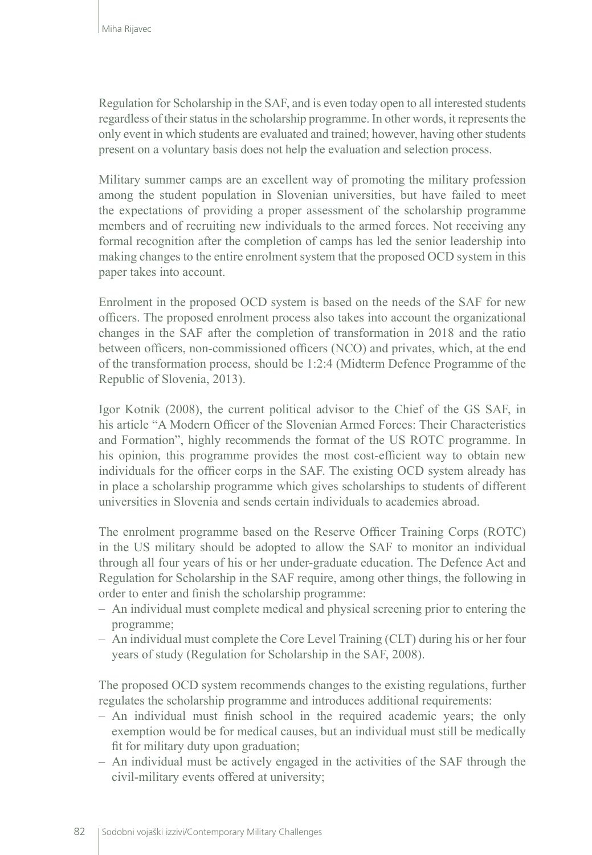Regulation for Scholarship in the SAF, and is even today open to all interested students regardless of their status in the scholarship programme. In other words, it represents the only event in which students are evaluated and trained; however, having other students present on a voluntary basis does not help the evaluation and selection process.

Military summer camps are an excellent way of promoting the military profession among the student population in Slovenian universities, but have failed to meet the expectations of providing a proper assessment of the scholarship programme members and of recruiting new individuals to the armed forces. Not receiving any formal recognition after the completion of camps has led the senior leadership into making changes to the entire enrolment system that the proposed OCD system in this paper takes into account.

Enrolment in the proposed OCD system is based on the needs of the SAF for new officers. The proposed enrolment process also takes into account the organizational changes in the SAF after the completion of transformation in 2018 and the ratio between officers, non-commissioned officers (NCO) and privates, which, at the end of the transformation process, should be 1:2:4 (Midterm Defence Programme of the Republic of Slovenia, 2013).

Igor Kotnik (2008), the current political advisor to the Chief of the GS SAF, in his article "A Modern Officer of the Slovenian Armed Forces: Their Characteristics and Formation", highly recommends the format of the US ROTC programme. In his opinion, this programme provides the most cost-efficient way to obtain new individuals for the officer corps in the SAF. The existing OCD system already has in place a scholarship programme which gives scholarships to students of different universities in Slovenia and sends certain individuals to academies abroad.

The enrolment programme based on the Reserve Officer Training Corps (ROTC) in the US military should be adopted to allow the SAF to monitor an individual through all four years of his or her under-graduate education. The Defence Act and Regulation for Scholarship in the SAF require, among other things, the following in order to enter and finish the scholarship programme:

- An individual must complete medical and physical screening prior to entering the programme;
- An individual must complete the Core Level Training (CLT) during his or her four years of study (Regulation for Scholarship in the SAF, 2008).

The proposed OCD system recommends changes to the existing regulations, further regulates the scholarship programme and introduces additional requirements:

- An individual must finish school in the required academic years; the only exemption would be for medical causes, but an individual must still be medically fit for military duty upon graduation;
- An individual must be actively engaged in the activities of the SAF through the civil-military events offered at university;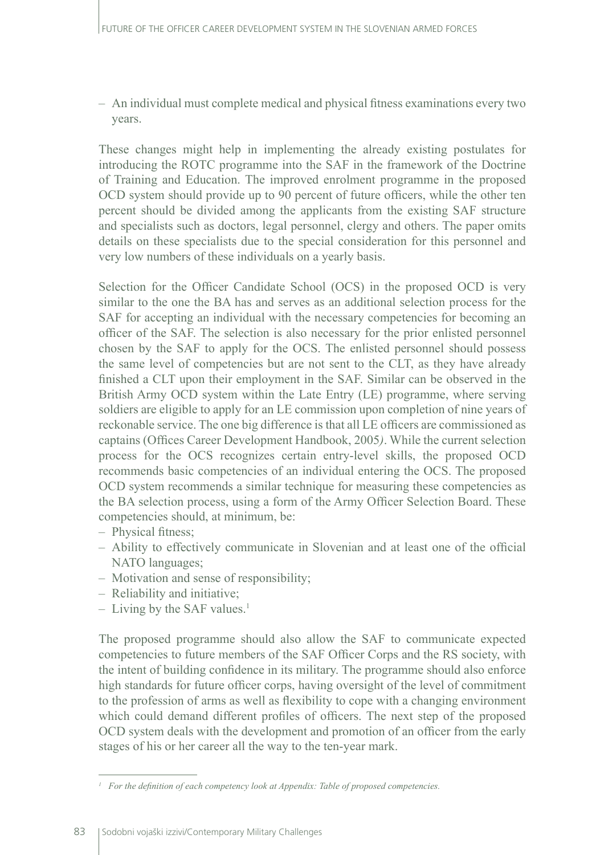– An individual must complete medical and physical fitness examinations every two years.

These changes might help in implementing the already existing postulates for introducing the ROTC programme into the SAF in the framework of the Doctrine of Training and Education. The improved enrolment programme in the proposed OCD system should provide up to 90 percent of future officers, while the other ten percent should be divided among the applicants from the existing SAF structure and specialists such as doctors, legal personnel, clergy and others. The paper omits details on these specialists due to the special consideration for this personnel and very low numbers of these individuals on a yearly basis.

Selection for the Officer Candidate School (OCS) in the proposed OCD is very similar to the one the BA has and serves as an additional selection process for the SAF for accepting an individual with the necessary competencies for becoming an officer of the SAF. The selection is also necessary for the prior enlisted personnel chosen by the SAF to apply for the OCS. The enlisted personnel should possess the same level of competencies but are not sent to the CLT, as they have already finished a CLT upon their employment in the SAF. Similar can be observed in the British Army OCD system within the Late Entry (LE) programme, where serving soldiers are eligible to apply for an LE commission upon completion of nine years of reckonable service. The one big difference is that all LE officers are commissioned as captains (Offices Career Development Handbook, 2005*)*. While the current selection process for the OCS recognizes certain entry-level skills, the proposed OCD recommends basic competencies of an individual entering the OCS. The proposed OCD system recommends a similar technique for measuring these competencies as the BA selection process, using a form of the Army Officer Selection Board. These competencies should, at minimum, be:

- Physical fitness;
- Ability to effectively communicate in Slovenian and at least one of the official NATO languages;
- Motivation and sense of responsibility;
- Reliability and initiative;
- Living by the SAF values.<sup>1</sup>

The proposed programme should also allow the SAF to communicate expected competencies to future members of the SAF Officer Corps and the RS society, with the intent of building confidence in its military. The programme should also enforce high standards for future officer corps, having oversight of the level of commitment to the profession of arms as well as flexibility to cope with a changing environment which could demand different profiles of officers. The next step of the proposed OCD system deals with the development and promotion of an officer from the early stages of his or her career all the way to the ten-year mark.

*<sup>1</sup> For the definition of each competency look at Appendix: Table of proposed competencies.*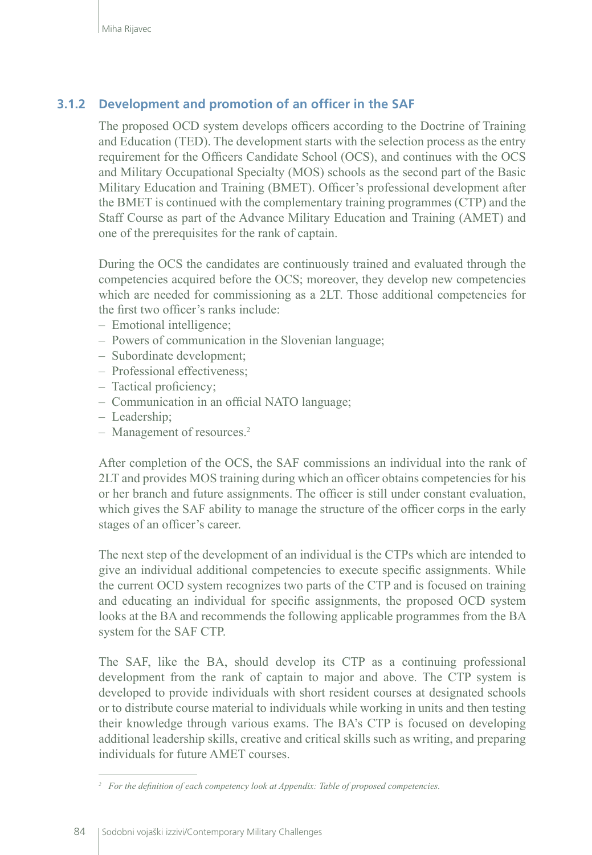## **3.1.2 Development and promotion of an officer in the SAF**

The proposed OCD system develops officers according to the Doctrine of Training and Education (TED). The development starts with the selection process as the entry requirement for the Officers Candidate School (OCS), and continues with the OCS and Military Occupational Specialty (MOS) schools as the second part of the Basic Military Education and Training (BMET). Officer's professional development after the BMET is continued with the complementary training programmes (CTP) and the Staff Course as part of the Advance Military Education and Training (AMET) and one of the prerequisites for the rank of captain.

During the OCS the candidates are continuously trained and evaluated through the competencies acquired before the OCS; moreover, they develop new competencies which are needed for commissioning as a 2LT. Those additional competencies for the first two officer's ranks include:

- Emotional intelligence;
- Powers of communication in the Slovenian language;
- Subordinate development;
- Professional effectiveness;
- Tactical proficiency;
- Communication in an official NATO language;
- Leadership;
- Management of resources.<sup>2</sup>

After completion of the OCS, the SAF commissions an individual into the rank of 2LT and provides MOS training during which an officer obtains competencies for his or her branch and future assignments. The officer is still under constant evaluation, which gives the SAF ability to manage the structure of the officer corps in the early stages of an officer's career.

The next step of the development of an individual is the CTPs which are intended to give an individual additional competencies to execute specific assignments. While the current OCD system recognizes two parts of the CTP and is focused on training and educating an individual for specific assignments, the proposed OCD system looks at the BA and recommends the following applicable programmes from the BA system for the SAF CTP.

The SAF, like the BA, should develop its CTP as a continuing professional development from the rank of captain to major and above. The CTP system is developed to provide individuals with short resident courses at designated schools or to distribute course material to individuals while working in units and then testing their knowledge through various exams. The BA's CTP is focused on developing additional leadership skills, creative and critical skills such as writing, and preparing individuals for future AMET courses.

*<sup>2</sup> For the definition of each competency look at Appendix: Table of proposed competencies.*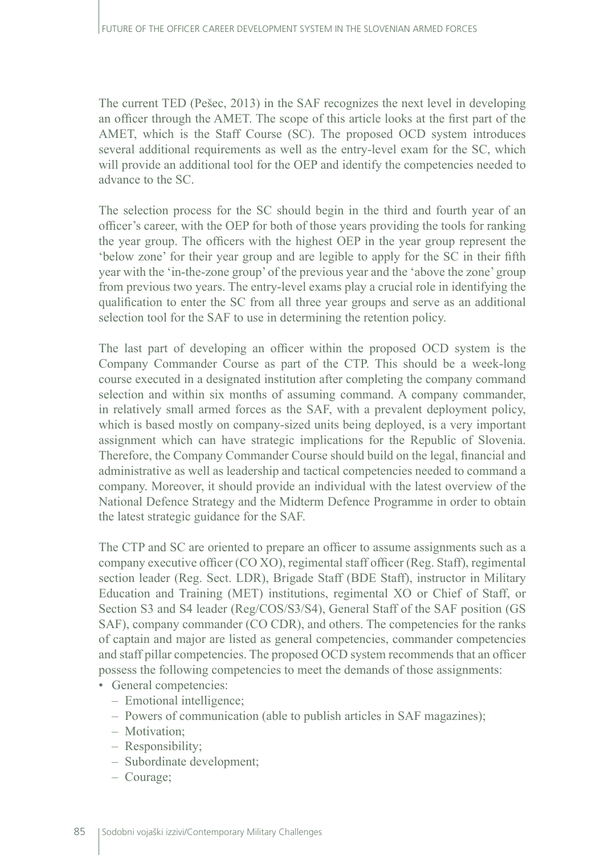The current TED (Pešec, 2013) in the SAF recognizes the next level in developing an officer through the AMET. The scope of this article looks at the first part of the AMET, which is the Staff Course (SC). The proposed OCD system introduces several additional requirements as well as the entry-level exam for the SC, which will provide an additional tool for the OEP and identify the competencies needed to advance to the SC.

The selection process for the SC should begin in the third and fourth year of an officer's career, with the OEP for both of those years providing the tools for ranking the year group. The officers with the highest OEP in the year group represent the 'below zone' for their year group and are legible to apply for the SC in their fifth year with the 'in-the-zone group' of the previous year and the 'above the zone' group from previous two years. The entry-level exams play a crucial role in identifying the qualification to enter the SC from all three year groups and serve as an additional selection tool for the SAF to use in determining the retention policy.

The last part of developing an officer within the proposed OCD system is the Company Commander Course as part of the CTP. This should be a week-long course executed in a designated institution after completing the company command selection and within six months of assuming command. A company commander, in relatively small armed forces as the SAF, with a prevalent deployment policy, which is based mostly on company-sized units being deployed, is a very important assignment which can have strategic implications for the Republic of Slovenia. Therefore, the Company Commander Course should build on the legal, financial and administrative as well as leadership and tactical competencies needed to command a company. Moreover, it should provide an individual with the latest overview of the National Defence Strategy and the Midterm Defence Programme in order to obtain the latest strategic guidance for the SAF.

The CTP and SC are oriented to prepare an officer to assume assignments such as a company executive officer (CO XO), regimental staff officer (Reg. Staff), regimental section leader (Reg. Sect. LDR), Brigade Staff (BDE Staff), instructor in Military Education and Training (MET) institutions, regimental XO or Chief of Staff, or Section S3 and S4 leader (Reg/COS/S3/S4), General Staff of the SAF position (GS SAF), company commander (CO CDR), and others. The competencies for the ranks of captain and major are listed as general competencies, commander competencies and staff pillar competencies. The proposed OCD system recommends that an officer possess the following competencies to meet the demands of those assignments:

- General competencies:
	- Emotional intelligence;
	- Powers of communication (able to publish articles in SAF magazines);
	- Motivation;
	- Responsibility;
	- Subordinate development;
	- Courage;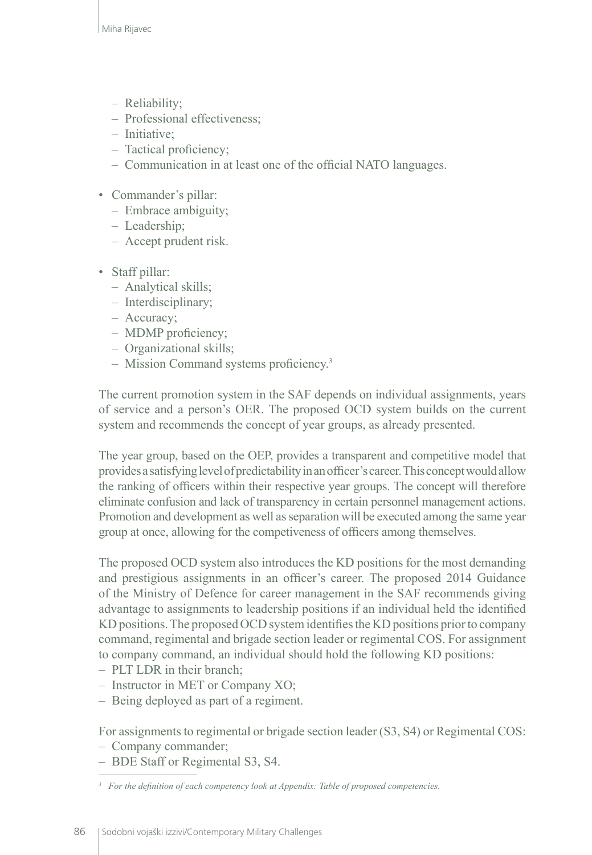- Reliability;
- Professional effectiveness;
- Initiative;
- Tactical proficiency;
- Communication in at least one of the official NATO languages.
- Commander's pillar:
	- Embrace ambiguity;
	- Leadership;
	- Accept prudent risk.
- Staff pillar:
	- Analytical skills;
	- Interdisciplinary;
	- Accuracy;
	- MDMP proficiency;
	- Organizational skills;
	- Mission Command systems proficiency.3

The current promotion system in the SAF depends on individual assignments, years of service and a person's OER. The proposed OCD system builds on the current system and recommends the concept of year groups, as already presented.

The year group, based on the OEP, provides a transparent and competitive model that provides a satisfying level of predictability in an officer's career. This concept would allow the ranking of officers within their respective year groups. The concept will therefore eliminate confusion and lack of transparency in certain personnel management actions. Promotion and development as well as separation will be executed among the same year group at once, allowing for the competiveness of officers among themselves.

The proposed OCD system also introduces the KD positions for the most demanding and prestigious assignments in an officer's career. The proposed 2014 Guidance of the Ministry of Defence for career management in the SAF recommends giving advantage to assignments to leadership positions if an individual held the identified KD positions. The proposed OCD system identifies the KD positions prior to company command, regimental and brigade section leader or regimental COS. For assignment to company command, an individual should hold the following KD positions:

- PLT LDR in their branch;
- Instructor in MET or Company XO;
- Being deployed as part of a regiment.

For assignments to regimental or brigade section leader (S3, S4) or Regimental COS:

- Company commander;
- BDE Staff or Regimental S3, S4.

*<sup>3</sup> For the definition of each competency look at Appendix: Table of proposed competencies.*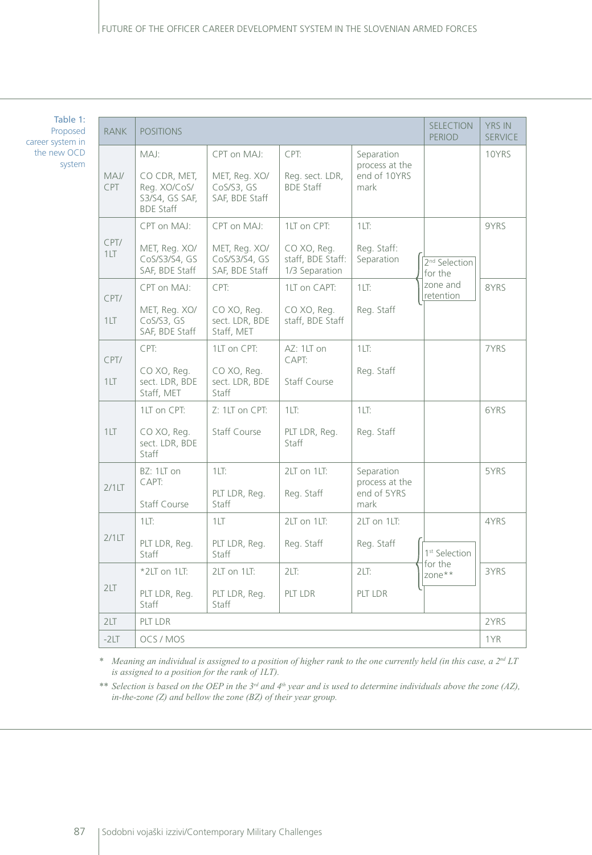Table 1: Proposed career system in the new OCD system

| <b>RANK</b>        | <b>POSITIONS</b>                                                           | <b>SELECTION</b><br><b>PERIOD</b>                               | <b>YRS IN</b><br><b>SERVICE</b>                                   |                                                      |                                      |       |
|--------------------|----------------------------------------------------------------------------|-----------------------------------------------------------------|-------------------------------------------------------------------|------------------------------------------------------|--------------------------------------|-------|
| MAJ/<br><b>CPT</b> | MAJ:<br>CO CDR, MET,<br>Reg. XO/CoS/<br>S3/S4, GS SAF,<br><b>BDE Staff</b> | CPT on MAJ:<br>MET, Reg. XO/<br>CoS/S3, GS<br>SAF, BDE Staff    | CPT:<br>Reg. sect. LDR,<br><b>BDE Staff</b>                       | Separation<br>process at the<br>end of 10YRS<br>mark |                                      | 10YRS |
| CPT/<br>1LT        | CPT on MAJ:<br>MET, Reg. XO/<br>CoS/S3/S4, GS<br>SAF, BDE Staff            | CPT on MAJ:<br>MET, Reg. XO/<br>CoS/S3/S4, GS<br>SAF, BDE Staff | 1LT on CPT:<br>CO XO, Reg.<br>staff, BDE Staff:<br>1/3 Separation | 1LT <sub>2</sub><br>Reg. Staff:<br>Separation        | 2 <sup>nd</sup> Selection<br>for the | 9YRS  |
| CPT/<br>1LT        | CPT on MAJ:<br>MET, Reg. XO/<br>CoS/S3, GS<br>SAF, BDE Staff               | CPT:<br>CO XO, Req.<br>sect. LDR, BDE<br>Staff, MET             | 1LT on CAPT:<br>CO XO, Req.<br>staff, BDE Staff                   | 1LT:<br>Reg. Staff                                   | zone and<br>retention                | 8YRS  |
| CPT/<br>1LT        | CPT:<br>CO XO, Reg.<br>sect. LDR, BDE<br>Staff, MET                        | 1LT on CPT:<br>CO XO, Reg.<br>sect. LDR, BDE<br>Staff           | AZ: 1LT on<br>CAPT:<br><b>Staff Course</b>                        | 1LT:<br>Reg. Staff                                   |                                      | 7YRS  |
| 1LT                | 1LT on CPT:<br>CO XO, Req.<br>sect. LDR, BDE<br>Staff                      | Z: 1LT on CPT:<br><b>Staff Course</b>                           | 1LT:<br>PLT LDR, Reg.<br>Staff                                    | 1LT <sub>2</sub><br>Reg. Staff                       |                                      | 6YRS  |
| 2/1LT              | BZ: 1LT on<br>CAPT:<br>Staff Course                                        | 1LT:<br>PLT LDR, Reg.<br>Staff                                  | 2LT on 1LT:<br>Reg. Staff                                         | Separation<br>process at the<br>end of 5YRS<br>mark  |                                      | 5YRS  |
| 2/1LT              | 1LT <sub>2</sub><br>PLT LDR, Req.<br>Staff                                 | 1LT<br>PLT LDR, Req.<br>Staff                                   | 2LT on 1LT:<br>Reg. Staff                                         | 2LT on 1LT:<br>Reg. Staff                            | 1 <sup>st</sup> Selection            | 4YRS  |
| 2LT                | $*2LT$ on 1LT:<br>PLT LDR, Reg.<br>Staff                                   | 2LT on 1LT:<br>PLT LDR, Reg.<br>Staff                           | 2LT:<br>PLT LDR                                                   | 2LT:<br>PLT LDR                                      | for the<br>zone**                    | 3YRS  |
| 2LT                | PLT LDR                                                                    |                                                                 |                                                                   |                                                      |                                      | 2YRS  |
| $-2LT$             | OCS / MOS                                                                  |                                                                 |                                                                   |                                                      | 1YR                                  |       |

*\* Meaning an individual is assigned to a position of higher rank to the one currently held (in this case, a 2nd LT is assigned to a position for the rank of 1LT).*

*\*\* Selection is based on the OEP in the 3rd and 4th year and is used to determine individuals above the zone (AZ), in-the-zone (Z) and bellow the zone (BZ) of their year group.*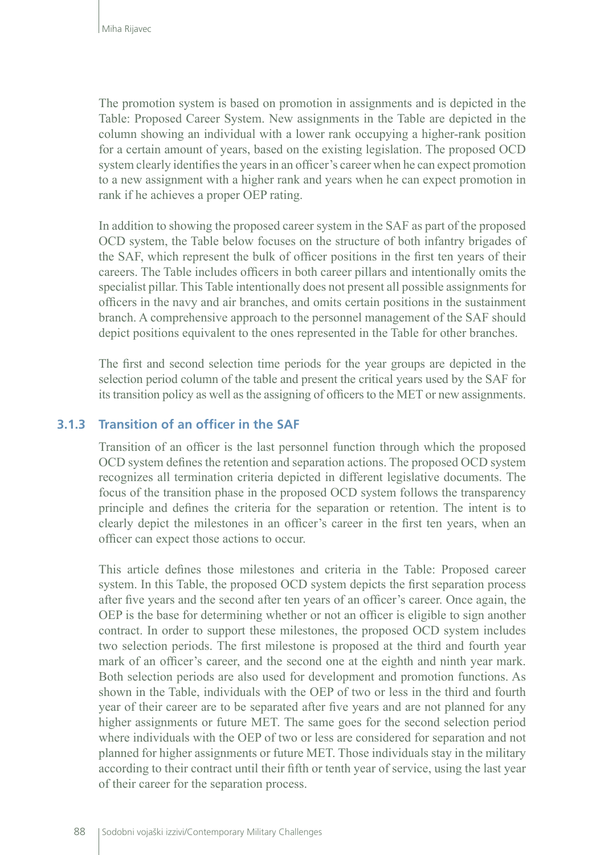The promotion system is based on promotion in assignments and is depicted in the Table: Proposed Career System. New assignments in the Table are depicted in the column showing an individual with a lower rank occupying a higher-rank position for a certain amount of years, based on the existing legislation. The proposed OCD system clearly identifies the years in an officer's career when he can expect promotion to a new assignment with a higher rank and years when he can expect promotion in rank if he achieves a proper OEP rating.

In addition to showing the proposed career system in the SAF as part of the proposed OCD system, the Table below focuses on the structure of both infantry brigades of the SAF, which represent the bulk of officer positions in the first ten years of their careers. The Table includes officers in both career pillars and intentionally omits the specialist pillar. This Table intentionally does not present all possible assignments for officers in the navy and air branches, and omits certain positions in the sustainment branch. A comprehensive approach to the personnel management of the SAF should depict positions equivalent to the ones represented in the Table for other branches.

The first and second selection time periods for the year groups are depicted in the selection period column of the table and present the critical years used by the SAF for its transition policy as well as the assigning of officers to the MET or new assignments.

#### **3.1.3 Transition of an officer in the SAF**

Transition of an officer is the last personnel function through which the proposed OCD system defines the retention and separation actions. The proposed OCD system recognizes all termination criteria depicted in different legislative documents. The focus of the transition phase in the proposed OCD system follows the transparency principle and defines the criteria for the separation or retention. The intent is to clearly depict the milestones in an officer's career in the first ten years, when an officer can expect those actions to occur.

This article defines those milestones and criteria in the Table: Proposed career system. In this Table, the proposed OCD system depicts the first separation process after five years and the second after ten years of an officer's career. Once again, the OEP is the base for determining whether or not an officer is eligible to sign another contract. In order to support these milestones, the proposed OCD system includes two selection periods. The first milestone is proposed at the third and fourth year mark of an officer's career, and the second one at the eighth and ninth year mark. Both selection periods are also used for development and promotion functions. As shown in the Table, individuals with the OEP of two or less in the third and fourth year of their career are to be separated after five years and are not planned for any higher assignments or future MET. The same goes for the second selection period where individuals with the OEP of two or less are considered for separation and not planned for higher assignments or future MET. Those individuals stay in the military according to their contract until their fifth or tenth year of service, using the last year of their career for the separation process.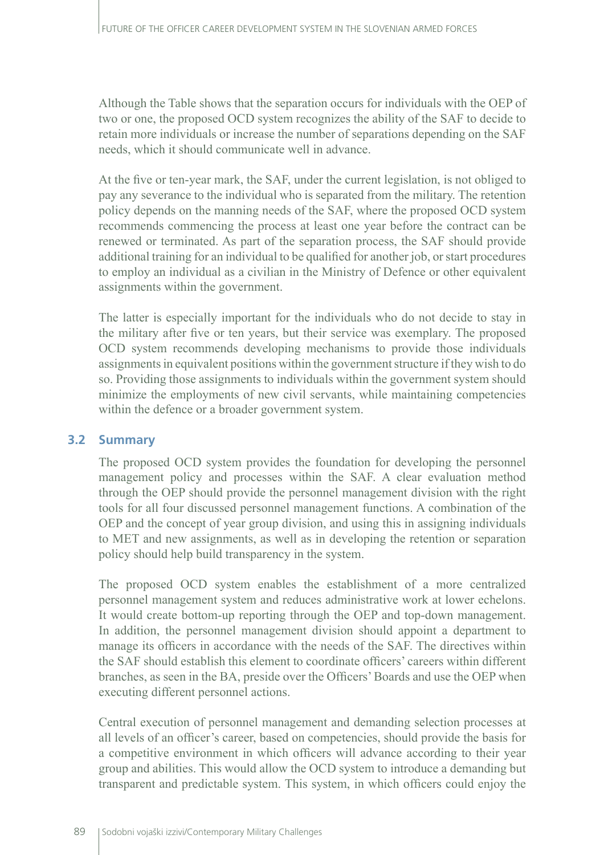Although the Table shows that the separation occurs for individuals with the OEP of two or one, the proposed OCD system recognizes the ability of the SAF to decide to retain more individuals or increase the number of separations depending on the SAF needs, which it should communicate well in advance.

At the five or ten-year mark, the SAF, under the current legislation, is not obliged to pay any severance to the individual who is separated from the military. The retention policy depends on the manning needs of the SAF, where the proposed OCD system recommends commencing the process at least one year before the contract can be renewed or terminated. As part of the separation process, the SAF should provide additional training for an individual to be qualified for another job, or start procedures to employ an individual as a civilian in the Ministry of Defence or other equivalent assignments within the government.

The latter is especially important for the individuals who do not decide to stay in the military after five or ten years, but their service was exemplary. The proposed OCD system recommends developing mechanisms to provide those individuals assignments in equivalent positions within the government structure if they wish to do so. Providing those assignments to individuals within the government system should minimize the employments of new civil servants, while maintaining competencies within the defence or a broader government system.

#### **3.2 Summary**

The proposed OCD system provides the foundation for developing the personnel management policy and processes within the SAF. A clear evaluation method through the OEP should provide the personnel management division with the right tools for all four discussed personnel management functions. A combination of the OEP and the concept of year group division, and using this in assigning individuals to MET and new assignments, as well as in developing the retention or separation policy should help build transparency in the system.

The proposed OCD system enables the establishment of a more centralized personnel management system and reduces administrative work at lower echelons. It would create bottom-up reporting through the OEP and top-down management. In addition, the personnel management division should appoint a department to manage its officers in accordance with the needs of the SAF. The directives within the SAF should establish this element to coordinate officers' careers within different branches, as seen in the BA, preside over the Officers' Boards and use the OEP when executing different personnel actions.

Central execution of personnel management and demanding selection processes at all levels of an officer's career, based on competencies, should provide the basis for a competitive environment in which officers will advance according to their year group and abilities. This would allow the OCD system to introduce a demanding but transparent and predictable system. This system, in which officers could enjoy the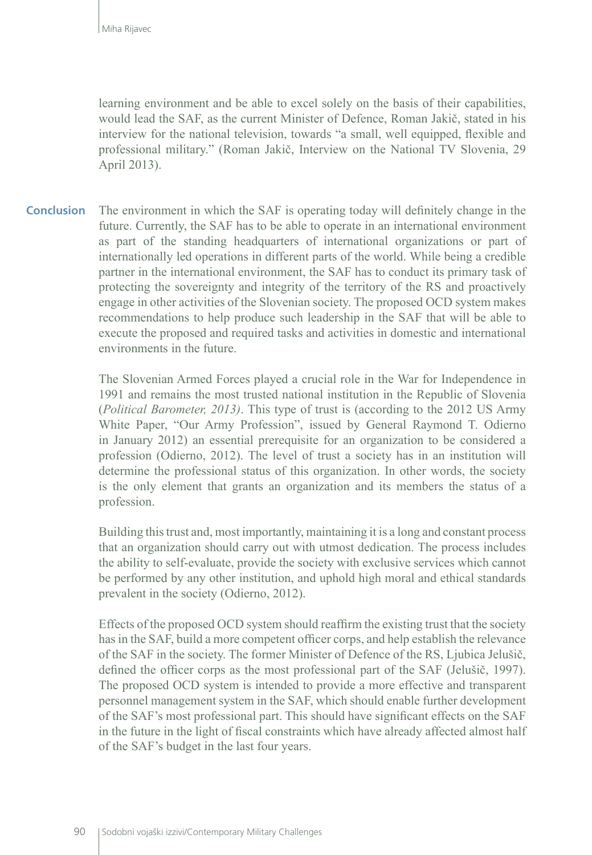learning environment and be able to excel solely on the basis of their capabilities, would lead the SAF, as the current Minister of Defence, Roman Jakič, stated in his interview for the national television, towards "a small, well equipped, flexible and professional military." (Roman Jakič, Interview on the National TV Slovenia, 29 April 2013).

The environment in which the SAF is operating today will definitely change in the future. Currently, the SAF has to be able to operate in an international environment as part of the standing headquarters of international organizations or part of internationally led operations in different parts of the world. While being a credible partner in the international environment, the SAF has to conduct its primary task of protecting the sovereignty and integrity of the territory of the RS and proactively engage in other activities of the Slovenian society. The proposed OCD system makes recommendations to help produce such leadership in the SAF that will be able to execute the proposed and required tasks and activities in domestic and international environments in the future. **Conclusion**

> The Slovenian Armed Forces played a crucial role in the War for Independence in 1991 and remains the most trusted national institution in the Republic of Slovenia (*Political Barometer, 2013)*. This type of trust is (according to the 2012 US Army White Paper, "Our Army Profession", issued by General Raymond T. Odierno in January 2012) an essential prerequisite for an organization to be considered a profession (Odierno, 2012). The level of trust a society has in an institution will determine the professional status of this organization. In other words, the society is the only element that grants an organization and its members the status of a profession.

> Building this trust and, most importantly, maintaining it is a long and constant process that an organization should carry out with utmost dedication. The process includes the ability to self-evaluate, provide the society with exclusive services which cannot be performed by any other institution, and uphold high moral and ethical standards prevalent in the society (Odierno, 2012).

> Effects of the proposed OCD system should reaffirm the existing trust that the society has in the SAF, build a more competent officer corps, and help establish the relevance of the SAF in the society. The former Minister of Defence of the RS, Ljubica Jelušič, defined the officer corps as the most professional part of the SAF (Jelušič, 1997). The proposed OCD system is intended to provide a more effective and transparent personnel management system in the SAF, which should enable further development of the SAF's most professional part. This should have significant effects on the SAF in the future in the light of fiscal constraints which have already affected almost half of the SAF's budget in the last four years.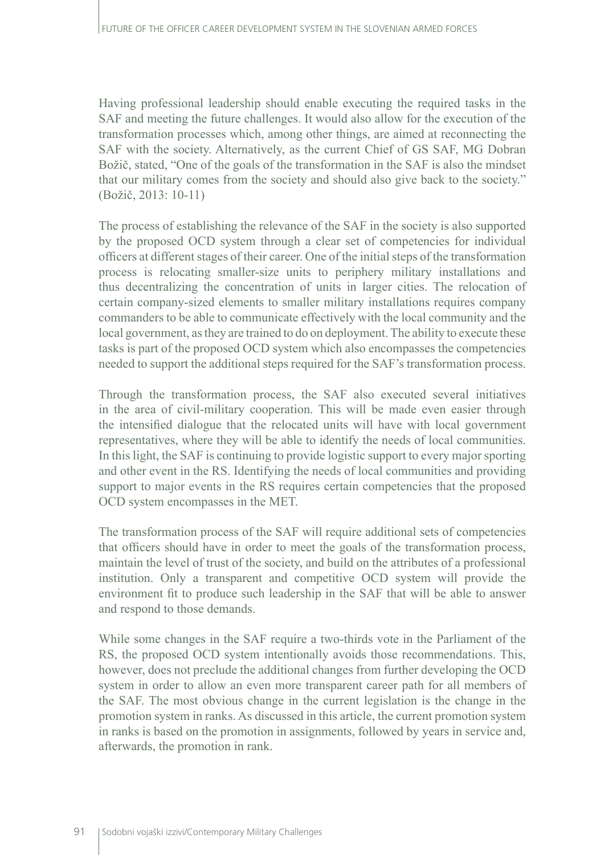Having professional leadership should enable executing the required tasks in the SAF and meeting the future challenges. It would also allow for the execution of the transformation processes which, among other things, are aimed at reconnecting the SAF with the society. Alternatively, as the current Chief of GS SAF, MG Dobran Božič, stated, "One of the goals of the transformation in the SAF is also the mindset that our military comes from the society and should also give back to the society." (Božič, 2013: 10-11)

The process of establishing the relevance of the SAF in the society is also supported by the proposed OCD system through a clear set of competencies for individual officers at different stages of their career. One of the initial steps of the transformation process is relocating smaller-size units to periphery military installations and thus decentralizing the concentration of units in larger cities. The relocation of certain company-sized elements to smaller military installations requires company commanders to be able to communicate effectively with the local community and the local government, as they are trained to do on deployment. The ability to execute these tasks is part of the proposed OCD system which also encompasses the competencies needed to support the additional steps required for the SAF's transformation process.

Through the transformation process, the SAF also executed several initiatives in the area of civil-military cooperation. This will be made even easier through the intensified dialogue that the relocated units will have with local government representatives, where they will be able to identify the needs of local communities. In this light, the SAF is continuing to provide logistic support to every major sporting and other event in the RS. Identifying the needs of local communities and providing support to major events in the RS requires certain competencies that the proposed OCD system encompasses in the MET.

The transformation process of the SAF will require additional sets of competencies that officers should have in order to meet the goals of the transformation process, maintain the level of trust of the society, and build on the attributes of a professional institution. Only a transparent and competitive OCD system will provide the environment fit to produce such leadership in the SAF that will be able to answer and respond to those demands.

While some changes in the SAF require a two-thirds vote in the Parliament of the RS, the proposed OCD system intentionally avoids those recommendations. This, however, does not preclude the additional changes from further developing the OCD system in order to allow an even more transparent career path for all members of the SAF. The most obvious change in the current legislation is the change in the promotion system in ranks. As discussed in this article, the current promotion system in ranks is based on the promotion in assignments, followed by years in service and, afterwards, the promotion in rank.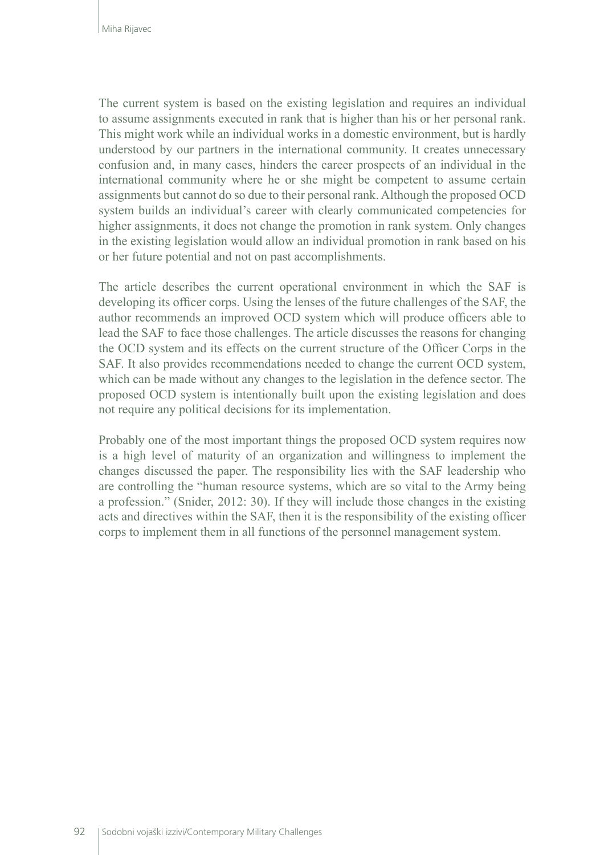The current system is based on the existing legislation and requires an individual to assume assignments executed in rank that is higher than his or her personal rank. This might work while an individual works in a domestic environment, but is hardly understood by our partners in the international community. It creates unnecessary confusion and, in many cases, hinders the career prospects of an individual in the international community where he or she might be competent to assume certain assignments but cannot do so due to their personal rank. Although the proposed OCD system builds an individual's career with clearly communicated competencies for higher assignments, it does not change the promotion in rank system. Only changes in the existing legislation would allow an individual promotion in rank based on his or her future potential and not on past accomplishments.

The article describes the current operational environment in which the SAF is developing its officer corps. Using the lenses of the future challenges of the SAF, the author recommends an improved OCD system which will produce officers able to lead the SAF to face those challenges. The article discusses the reasons for changing the OCD system and its effects on the current structure of the Officer Corps in the SAF. It also provides recommendations needed to change the current OCD system, which can be made without any changes to the legislation in the defence sector. The proposed OCD system is intentionally built upon the existing legislation and does not require any political decisions for its implementation.

Probably one of the most important things the proposed OCD system requires now is a high level of maturity of an organization and willingness to implement the changes discussed the paper. The responsibility lies with the SAF leadership who are controlling the "human resource systems, which are so vital to the Army being a profession." (Snider, 2012: 30). If they will include those changes in the existing acts and directives within the SAF, then it is the responsibility of the existing officer corps to implement them in all functions of the personnel management system.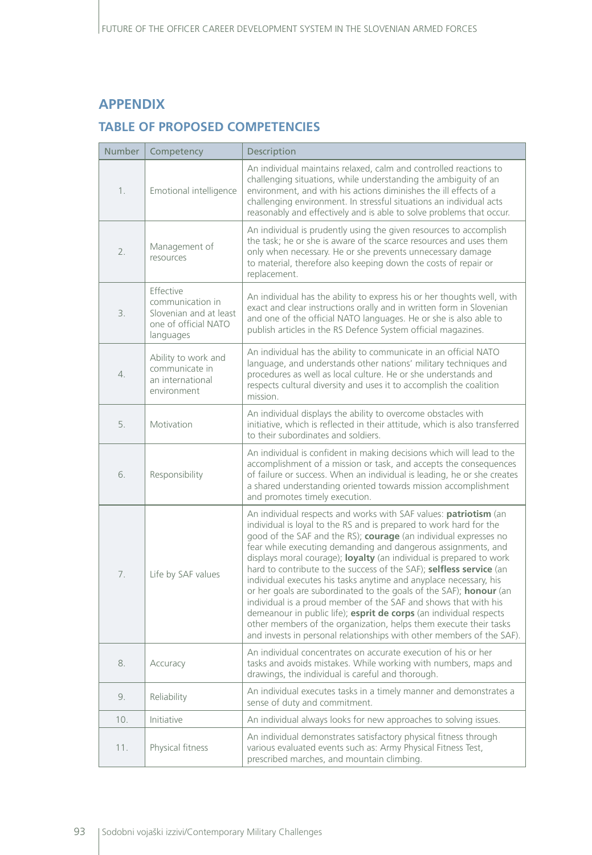#### **APPENDIX**

#### **TABLE OF PROPOSED COMPETENCIES**

| Number | Competency                                                                                   | Description                                                                                                                                                                                                                                                                                                                                                                                                                                                                                                                                                                                                                                                                                                                                                                                                                                                 |  |  |
|--------|----------------------------------------------------------------------------------------------|-------------------------------------------------------------------------------------------------------------------------------------------------------------------------------------------------------------------------------------------------------------------------------------------------------------------------------------------------------------------------------------------------------------------------------------------------------------------------------------------------------------------------------------------------------------------------------------------------------------------------------------------------------------------------------------------------------------------------------------------------------------------------------------------------------------------------------------------------------------|--|--|
| 1.     | Emotional intelligence                                                                       | An individual maintains relaxed, calm and controlled reactions to<br>challenging situations, while understanding the ambiguity of an<br>environment, and with his actions diminishes the ill effects of a<br>challenging environment. In stressful situations an individual acts<br>reasonably and effectively and is able to solve problems that occur.                                                                                                                                                                                                                                                                                                                                                                                                                                                                                                    |  |  |
| 2.     | Management of<br>resources                                                                   | An individual is prudently using the given resources to accomplish<br>the task; he or she is aware of the scarce resources and uses them<br>only when necessary. He or she prevents unnecessary damage<br>to material, therefore also keeping down the costs of repair or<br>replacement.                                                                                                                                                                                                                                                                                                                                                                                                                                                                                                                                                                   |  |  |
| 3.     | Effective<br>communication in<br>Slovenian and at least<br>one of official NATO<br>languages | An individual has the ability to express his or her thoughts well, with<br>exact and clear instructions orally and in written form in Slovenian<br>and one of the official NATO languages. He or she is also able to<br>publish articles in the RS Defence System official magazines.                                                                                                                                                                                                                                                                                                                                                                                                                                                                                                                                                                       |  |  |
| 4.     | Ability to work and<br>communicate in<br>an international<br>environment                     | An individual has the ability to communicate in an official NATO<br>language, and understands other nations' military techniques and<br>procedures as well as local culture. He or she understands and<br>respects cultural diversity and uses it to accomplish the coalition<br>mission.                                                                                                                                                                                                                                                                                                                                                                                                                                                                                                                                                                   |  |  |
| 5.     | Motivation                                                                                   | An individual displays the ability to overcome obstacles with<br>initiative, which is reflected in their attitude, which is also transferred<br>to their subordinates and soldiers.                                                                                                                                                                                                                                                                                                                                                                                                                                                                                                                                                                                                                                                                         |  |  |
| 6.     | Responsibility                                                                               | An individual is confident in making decisions which will lead to the<br>accomplishment of a mission or task, and accepts the consequences<br>of failure or success. When an individual is leading, he or she creates<br>a shared understanding oriented towards mission accomplishment<br>and promotes timely execution.                                                                                                                                                                                                                                                                                                                                                                                                                                                                                                                                   |  |  |
| 7.     | Life by SAF values                                                                           | An individual respects and works with SAF values: patriotism (an<br>individual is loyal to the RS and is prepared to work hard for the<br>good of the SAF and the RS); courage (an individual expresses no<br>fear while executing demanding and dangerous assignments, and<br>displays moral courage); loyalty (an individual is prepared to work<br>hard to contribute to the success of the SAF); selfless service (an<br>individual executes his tasks anytime and anyplace necessary, his<br>or her goals are subordinated to the goals of the SAF); honour (an<br>individual is a proud member of the SAF and shows that with his<br>demeanour in public life); esprit de corps (an individual respects<br>other members of the organization, helps them execute their tasks<br>and invests in personal relationships with other members of the SAF). |  |  |
| 8.     | Accuracy                                                                                     | An individual concentrates on accurate execution of his or her<br>tasks and avoids mistakes. While working with numbers, maps and<br>drawings, the individual is careful and thorough.                                                                                                                                                                                                                                                                                                                                                                                                                                                                                                                                                                                                                                                                      |  |  |
| 9.     | Reliability                                                                                  | An individual executes tasks in a timely manner and demonstrates a<br>sense of duty and commitment.                                                                                                                                                                                                                                                                                                                                                                                                                                                                                                                                                                                                                                                                                                                                                         |  |  |
| 10.    | Initiative                                                                                   | An individual always looks for new approaches to solving issues.                                                                                                                                                                                                                                                                                                                                                                                                                                                                                                                                                                                                                                                                                                                                                                                            |  |  |
| 11.    | Physical fitness                                                                             | An individual demonstrates satisfactory physical fitness through<br>various evaluated events such as: Army Physical Fitness Test,<br>prescribed marches, and mountain climbing.                                                                                                                                                                                                                                                                                                                                                                                                                                                                                                                                                                                                                                                                             |  |  |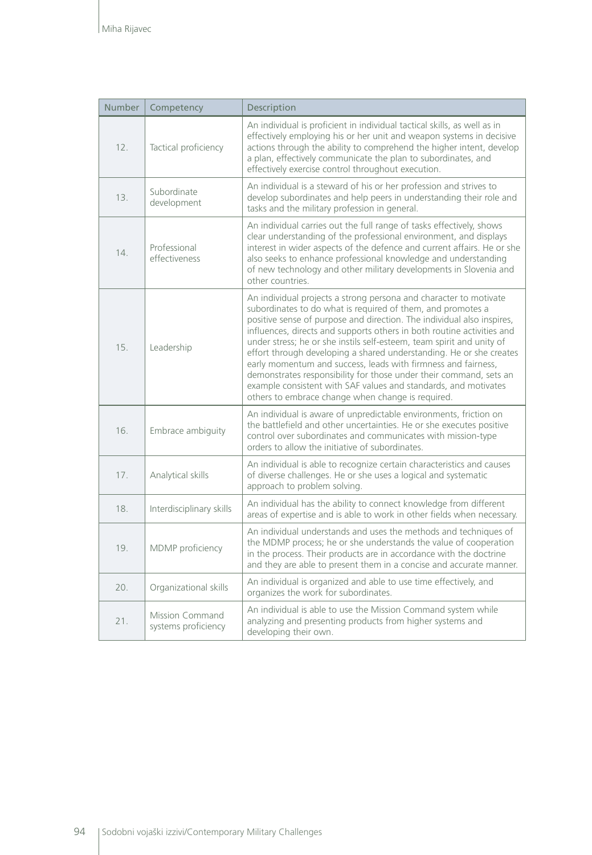| Number | Competency                                    | Description                                                                                                                                                                                                                                                                                                                                                                                                                                                                                                                                                                                                                                                                                         |
|--------|-----------------------------------------------|-----------------------------------------------------------------------------------------------------------------------------------------------------------------------------------------------------------------------------------------------------------------------------------------------------------------------------------------------------------------------------------------------------------------------------------------------------------------------------------------------------------------------------------------------------------------------------------------------------------------------------------------------------------------------------------------------------|
| 12.    | Tactical proficiency                          | An individual is proficient in individual tactical skills, as well as in<br>effectively employing his or her unit and weapon systems in decisive<br>actions through the ability to comprehend the higher intent, develop<br>a plan, effectively communicate the plan to subordinates, and<br>effectively exercise control throughout execution.                                                                                                                                                                                                                                                                                                                                                     |
| 13.    | Subordinate<br>development                    | An individual is a steward of his or her profession and strives to<br>develop subordinates and help peers in understanding their role and<br>tasks and the military profession in general.                                                                                                                                                                                                                                                                                                                                                                                                                                                                                                          |
| 14.    | Professional<br>effectiveness                 | An individual carries out the full range of tasks effectively, shows<br>clear understanding of the professional environment, and displays<br>interest in wider aspects of the defence and current affairs. He or she<br>also seeks to enhance professional knowledge and understanding<br>of new technology and other military developments in Slovenia and<br>other countries.                                                                                                                                                                                                                                                                                                                     |
| 15.    | Leadership                                    | An individual projects a strong persona and character to motivate<br>subordinates to do what is required of them, and promotes a<br>positive sense of purpose and direction. The individual also inspires,<br>influences, directs and supports others in both routine activities and<br>under stress; he or she instils self-esteem, team spirit and unity of<br>effort through developing a shared understanding. He or she creates<br>early momentum and success, leads with firmness and fairness,<br>demonstrates responsibility for those under their command, sets an<br>example consistent with SAF values and standards, and motivates<br>others to embrace change when change is required. |
| 16.    | Embrace ambiguity                             | An individual is aware of unpredictable environments, friction on<br>the battlefield and other uncertainties. He or she executes positive<br>control over subordinates and communicates with mission-type<br>orders to allow the initiative of subordinates.                                                                                                                                                                                                                                                                                                                                                                                                                                        |
| 17.    | Analytical skills                             | An individual is able to recognize certain characteristics and causes<br>of diverse challenges. He or she uses a logical and systematic<br>approach to problem solving.                                                                                                                                                                                                                                                                                                                                                                                                                                                                                                                             |
| 18.    | Interdisciplinary skills                      | An individual has the ability to connect knowledge from different<br>areas of expertise and is able to work in other fields when necessary.                                                                                                                                                                                                                                                                                                                                                                                                                                                                                                                                                         |
| 19.    | MDMP proficiency                              | An individual understands and uses the methods and techniques of<br>the MDMP process; he or she understands the value of cooperation<br>in the process. Their products are in accordance with the doctrine<br>and they are able to present them in a concise and accurate manner.                                                                                                                                                                                                                                                                                                                                                                                                                   |
| 20.    | Organizational skills                         | An individual is organized and able to use time effectively, and<br>organizes the work for subordinates.                                                                                                                                                                                                                                                                                                                                                                                                                                                                                                                                                                                            |
| 21.    | <b>Mission Command</b><br>systems proficiency | An individual is able to use the Mission Command system while<br>analyzing and presenting products from higher systems and<br>developing their own.                                                                                                                                                                                                                                                                                                                                                                                                                                                                                                                                                 |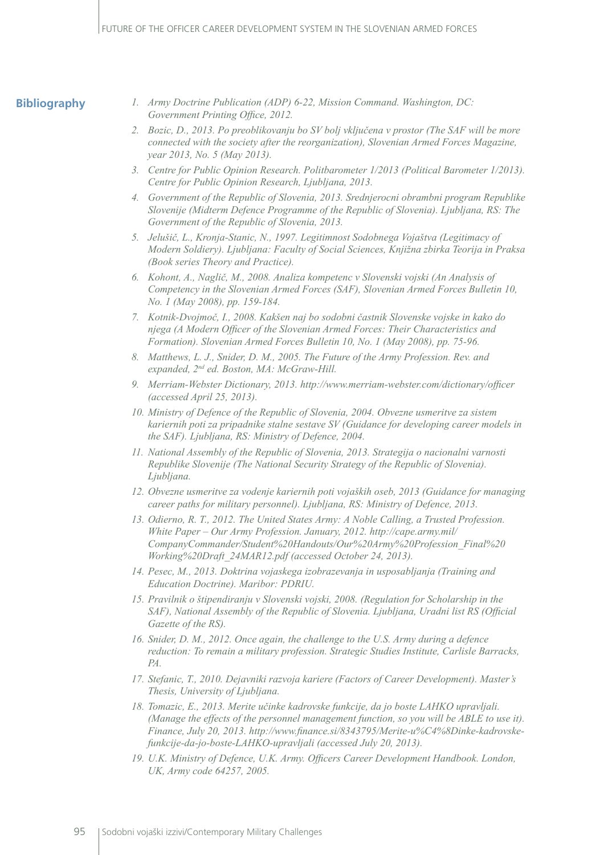#### **Bibliography**

- *1. Army Doctrine Publication (ADP) 6-22, Mission Command. Washington, DC: Government Printing Office, 2012.*
- *2. Bozic, D., 2013. Po preoblikovanju bo SV bolj vključena v prostor (The SAF will be more connected with the society after the reorganization), Slovenian Armed Forces Magazine, year 2013, No. 5 (May 2013).*
- *3. Centre for Public Opinion Research. Politbarometer 1/2013 (Political Barometer 1/2013). Centre for Public Opinion Research, Ljubljana, 2013.*
- *4. Government of the Republic of Slovenia, 2013. Srednjerocni obrambni program Republike Slovenije (Midterm Defence Programme of the Republic of Slovenia). Ljubljana, RS: The Government of the Republic of Slovenia, 2013.*
- *5. Jelušič, L., Kronja-Stanic, N., 1997. Legitimnost Sodobnega Vojaštva (Legitimacy of Modern Soldiery). Ljubljana: Faculty of Social Sciences, Knjižna zbirka Teorija in Praksa (Book series Theory and Practice).*
- *6. Kohont, A., Naglič, M., 2008. Analiza kompetenc v Slovenski vojski (An Analysis of Competency in the Slovenian Armed Forces (SAF), Slovenian Armed Forces Bulletin 10, No. 1 (May 2008), pp. 159-184.*
- *7. Kotnik-Dvojmoč, I., 2008. Kakšen naj bo sodobni častnik Slovenske vojske in kako do njega (A Modern Officer of the Slovenian Armed Forces: Their Characteristics and Formation). Slovenian Armed Forces Bulletin 10, No. 1 (May 2008), pp. 75-96.*
- *8. Matthews, L. J., Snider, D. M., 2005. The Future of the Army Profession. Rev. and expanded, 2nd ed. Boston, MA: McGraw-Hill.*
- *9. Merriam-Webster Dictionary, 2013. http://www.merriam-webster.com/dictionary/officer (accessed April 25, 2013).*
- *10. Ministry of Defence of the Republic of Slovenia, 2004. Obvezne usmeritve za sistem kariernih poti za pripadnike stalne sestave SV (Guidance for developing career models in the SAF). Ljubljana, RS: Ministry of Defence, 2004.*
- *11. National Assembly of the Republic of Slovenia, 2013. Strategija o nacionalni varnosti Republike Slovenije (The National Security Strategy of the Republic of Slovenia). Ljubljana.*
- *12. Obvezne usmeritve za vodenje kariernih poti vojaških oseb, 2013 (Guidance for managing career paths for military personnel). Ljubljana, RS: Ministry of Defence, 2013.*
- *13. Odierno, R. T., 2012. The United States Army: A Noble Calling, a Trusted Profession. White Paper – Our Army Profession. January, 2012. http://cape.army.mil/ CompanyCommander/Student%20Handouts/Our%20Army%20Profession\_Final%20 Working%20Draft\_24MAR12.pdf (accessed October 24, 2013).*
- *14. Pesec, M., 2013. Doktrina vojaskega izobrazevanja in usposabljanja (Training and Education Doctrine). Maribor: PDRIU.*
- *15. Pravilnik o štipendiranju v Slovenski vojski, 2008. (Regulation for Scholarship in the SAF), National Assembly of the Republic of Slovenia. Ljubljana, Uradni list RS (Official Gazette of the RS).*
- *16. Snider, D. M., 2012. Once again, the challenge to the U.S. Army during a defence reduction: To remain a military profession. Strategic Studies Institute, Carlisle Barracks, PA.*
- *17. Stefanic, T., 2010. Dejavniki razvoja kariere (Factors of Career Development). Master's Thesis, University of Ljubljana.*
- *18. Tomazic, E., 2013. Merite učinke kadrovske funkcije, da jo boste LAHKO upravljali. (Manage the effects of the personnel management function, so you will be ABLE to use it). Finance, July 20, 2013. http://www.finance.si/8343795/Merite-u%C4%8Dinke-kadrovskefunkcije-da-jo-boste-LAHKO-upravljali (accessed July 20, 2013).*
- *19. U.K. Ministry of Defence, U.K. Army. Officers Career Development Handbook. London, UK, Army code 64257, 2005.*